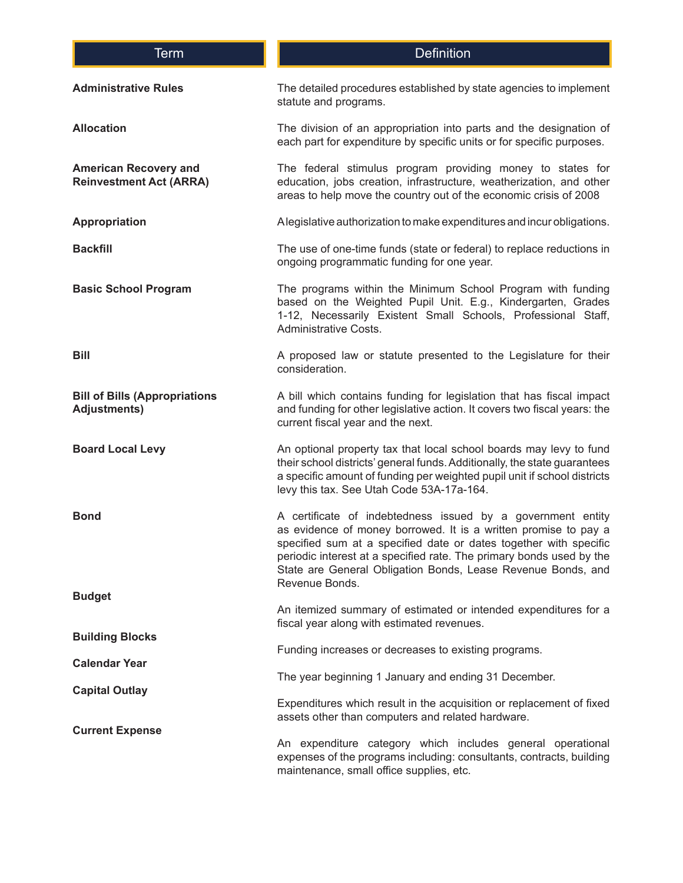| <b>Term</b>                                                    | <b>Definition</b>                                                                                                                                                                                                                                                                                                                                             |
|----------------------------------------------------------------|---------------------------------------------------------------------------------------------------------------------------------------------------------------------------------------------------------------------------------------------------------------------------------------------------------------------------------------------------------------|
| <b>Administrative Rules</b>                                    | The detailed procedures established by state agencies to implement<br>statute and programs.                                                                                                                                                                                                                                                                   |
| <b>Allocation</b>                                              | The division of an appropriation into parts and the designation of<br>each part for expenditure by specific units or for specific purposes.                                                                                                                                                                                                                   |
| <b>American Recovery and</b><br><b>Reinvestment Act (ARRA)</b> | The federal stimulus program providing money to states for<br>education, jobs creation, infrastructure, weatherization, and other<br>areas to help move the country out of the economic crisis of 2008                                                                                                                                                        |
| <b>Appropriation</b>                                           | Alegislative authorization to make expenditures and incur obligations.                                                                                                                                                                                                                                                                                        |
| <b>Backfill</b>                                                | The use of one-time funds (state or federal) to replace reductions in<br>ongoing programmatic funding for one year.                                                                                                                                                                                                                                           |
| <b>Basic School Program</b>                                    | The programs within the Minimum School Program with funding<br>based on the Weighted Pupil Unit. E.g., Kindergarten, Grades<br>1-12, Necessarily Existent Small Schools, Professional Staff,<br>Administrative Costs.                                                                                                                                         |
| <b>Bill</b>                                                    | A proposed law or statute presented to the Legislature for their<br>consideration.                                                                                                                                                                                                                                                                            |
| <b>Bill of Bills (Appropriations</b><br><b>Adjustments)</b>    | A bill which contains funding for legislation that has fiscal impact<br>and funding for other legislative action. It covers two fiscal years: the<br>current fiscal year and the next.                                                                                                                                                                        |
| <b>Board Local Levy</b>                                        | An optional property tax that local school boards may levy to fund<br>their school districts' general funds. Additionally, the state guarantees<br>a specific amount of funding per weighted pupil unit if school districts<br>levy this tax. See Utah Code 53A-17a-164.                                                                                      |
| <b>Bond</b>                                                    | A certificate of indebtedness issued by a government entity<br>as evidence of money borrowed. It is a written promise to pay a<br>specified sum at a specified date or dates together with specific<br>periodic interest at a specified rate. The primary bonds used by the<br>State are General Obligation Bonds, Lease Revenue Bonds, and<br>Revenue Bonds. |
| <b>Budget</b>                                                  | An itemized summary of estimated or intended expenditures for a<br>fiscal year along with estimated revenues.                                                                                                                                                                                                                                                 |
| <b>Building Blocks</b>                                         | Funding increases or decreases to existing programs.                                                                                                                                                                                                                                                                                                          |
| <b>Calendar Year</b>                                           | The year beginning 1 January and ending 31 December.                                                                                                                                                                                                                                                                                                          |
| <b>Capital Outlay</b>                                          |                                                                                                                                                                                                                                                                                                                                                               |
|                                                                | Expenditures which result in the acquisition or replacement of fixed<br>assets other than computers and related hardware.                                                                                                                                                                                                                                     |
| <b>Current Expense</b>                                         | An expenditure category which includes general operational<br>expenses of the programs including: consultants, contracts, building<br>maintenance, small office supplies, etc.                                                                                                                                                                                |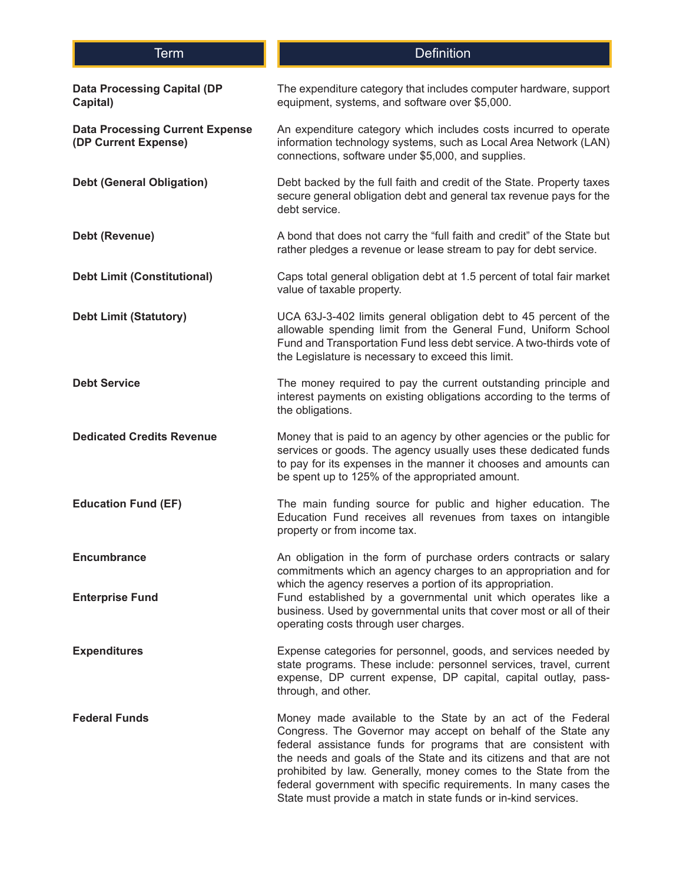| <b>Term</b>                                                    | <b>Definition</b>                                                                                                                                                                                                                                                                                                                                                                                                                                                           |
|----------------------------------------------------------------|-----------------------------------------------------------------------------------------------------------------------------------------------------------------------------------------------------------------------------------------------------------------------------------------------------------------------------------------------------------------------------------------------------------------------------------------------------------------------------|
| <b>Data Processing Capital (DP</b><br>Capital)                 | The expenditure category that includes computer hardware, support<br>equipment, systems, and software over \$5,000.                                                                                                                                                                                                                                                                                                                                                         |
| <b>Data Processing Current Expense</b><br>(DP Current Expense) | An expenditure category which includes costs incurred to operate<br>information technology systems, such as Local Area Network (LAN)<br>connections, software under \$5,000, and supplies.                                                                                                                                                                                                                                                                                  |
| <b>Debt (General Obligation)</b>                               | Debt backed by the full faith and credit of the State. Property taxes<br>secure general obligation debt and general tax revenue pays for the<br>debt service.                                                                                                                                                                                                                                                                                                               |
| Debt (Revenue)                                                 | A bond that does not carry the "full faith and credit" of the State but<br>rather pledges a revenue or lease stream to pay for debt service.                                                                                                                                                                                                                                                                                                                                |
| <b>Debt Limit (Constitutional)</b>                             | Caps total general obligation debt at 1.5 percent of total fair market<br>value of taxable property.                                                                                                                                                                                                                                                                                                                                                                        |
| <b>Debt Limit (Statutory)</b>                                  | UCA 63J-3-402 limits general obligation debt to 45 percent of the<br>allowable spending limit from the General Fund, Uniform School<br>Fund and Transportation Fund less debt service. A two-thirds vote of<br>the Legislature is necessary to exceed this limit.                                                                                                                                                                                                           |
| <b>Debt Service</b>                                            | The money required to pay the current outstanding principle and<br>interest payments on existing obligations according to the terms of<br>the obligations.                                                                                                                                                                                                                                                                                                                  |
| <b>Dedicated Credits Revenue</b>                               | Money that is paid to an agency by other agencies or the public for<br>services or goods. The agency usually uses these dedicated funds<br>to pay for its expenses in the manner it chooses and amounts can<br>be spent up to 125% of the appropriated amount.                                                                                                                                                                                                              |
| <b>Education Fund (EF)</b>                                     | The main funding source for public and higher education. The<br>Education Fund receives all revenues from taxes on intangible<br>property or from income tax.                                                                                                                                                                                                                                                                                                               |
| <b>Encumbrance</b>                                             | An obligation in the form of purchase orders contracts or salary<br>commitments which an agency charges to an appropriation and for<br>which the agency reserves a portion of its appropriation.                                                                                                                                                                                                                                                                            |
| <b>Enterprise Fund</b>                                         | Fund established by a governmental unit which operates like a<br>business. Used by governmental units that cover most or all of their<br>operating costs through user charges.                                                                                                                                                                                                                                                                                              |
| <b>Expenditures</b>                                            | Expense categories for personnel, goods, and services needed by<br>state programs. These include: personnel services, travel, current<br>expense, DP current expense, DP capital, capital outlay, pass-<br>through, and other.                                                                                                                                                                                                                                              |
| <b>Federal Funds</b>                                           | Money made available to the State by an act of the Federal<br>Congress. The Governor may accept on behalf of the State any<br>federal assistance funds for programs that are consistent with<br>the needs and goals of the State and its citizens and that are not<br>prohibited by law. Generally, money comes to the State from the<br>federal government with specific requirements. In many cases the<br>State must provide a match in state funds or in-kind services. |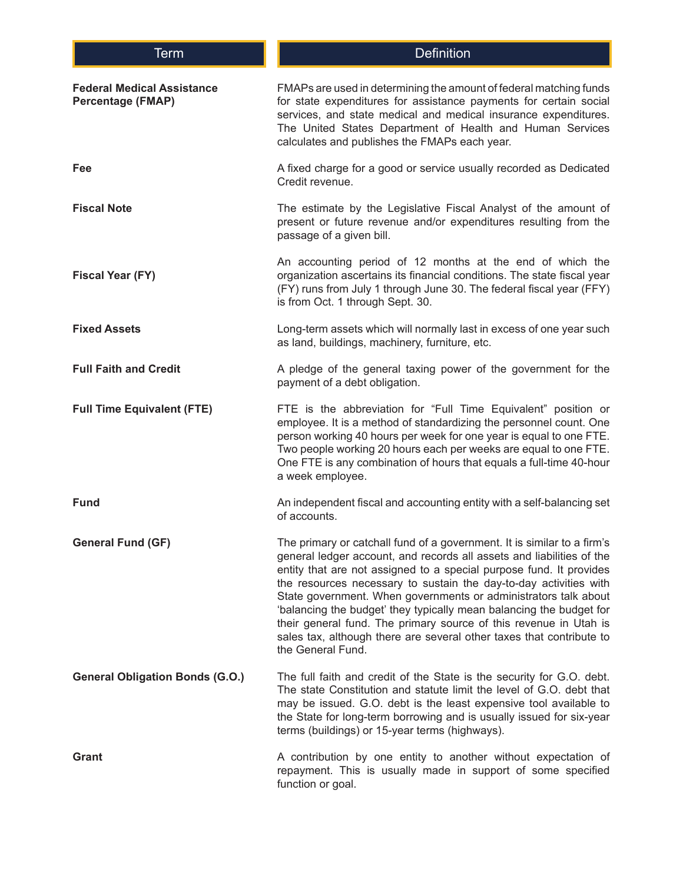| <b>Term</b>                                                   | <b>Definition</b>                                                                                                                                                                                                                                                                                                                                                                                                                                                                                                                                                                                        |
|---------------------------------------------------------------|----------------------------------------------------------------------------------------------------------------------------------------------------------------------------------------------------------------------------------------------------------------------------------------------------------------------------------------------------------------------------------------------------------------------------------------------------------------------------------------------------------------------------------------------------------------------------------------------------------|
| <b>Federal Medical Assistance</b><br><b>Percentage (FMAP)</b> | FMAPs are used in determining the amount of federal matching funds<br>for state expenditures for assistance payments for certain social<br>services, and state medical and medical insurance expenditures.<br>The United States Department of Health and Human Services<br>calculates and publishes the FMAPs each year.                                                                                                                                                                                                                                                                                 |
| Fee                                                           | A fixed charge for a good or service usually recorded as Dedicated<br>Credit revenue.                                                                                                                                                                                                                                                                                                                                                                                                                                                                                                                    |
| <b>Fiscal Note</b>                                            | The estimate by the Legislative Fiscal Analyst of the amount of<br>present or future revenue and/or expenditures resulting from the<br>passage of a given bill.                                                                                                                                                                                                                                                                                                                                                                                                                                          |
| <b>Fiscal Year (FY)</b>                                       | An accounting period of 12 months at the end of which the<br>organization ascertains its financial conditions. The state fiscal year<br>(FY) runs from July 1 through June 30. The federal fiscal year (FFY)<br>is from Oct. 1 through Sept. 30.                                                                                                                                                                                                                                                                                                                                                         |
| <b>Fixed Assets</b>                                           | Long-term assets which will normally last in excess of one year such<br>as land, buildings, machinery, furniture, etc.                                                                                                                                                                                                                                                                                                                                                                                                                                                                                   |
| <b>Full Faith and Credit</b>                                  | A pledge of the general taxing power of the government for the<br>payment of a debt obligation.                                                                                                                                                                                                                                                                                                                                                                                                                                                                                                          |
| <b>Full Time Equivalent (FTE)</b>                             | FTE is the abbreviation for "Full Time Equivalent" position or<br>employee. It is a method of standardizing the personnel count. One<br>person working 40 hours per week for one year is equal to one FTE.<br>Two people working 20 hours each per weeks are equal to one FTE.<br>One FTE is any combination of hours that equals a full-time 40-hour<br>a week employee.                                                                                                                                                                                                                                |
| <b>Fund</b>                                                   | An independent fiscal and accounting entity with a self-balancing set<br>of accounts.                                                                                                                                                                                                                                                                                                                                                                                                                                                                                                                    |
| <b>General Fund (GF)</b>                                      | The primary or catchall fund of a government. It is similar to a firm's<br>general ledger account, and records all assets and liabilities of the<br>entity that are not assigned to a special purpose fund. It provides<br>the resources necessary to sustain the day-to-day activities with<br>State government. When governments or administrators talk about<br>'balancing the budget' they typically mean balancing the budget for<br>their general fund. The primary source of this revenue in Utah is<br>sales tax, although there are several other taxes that contribute to<br>the General Fund. |
| <b>General Obligation Bonds (G.O.)</b>                        | The full faith and credit of the State is the security for G.O. debt.<br>The state Constitution and statute limit the level of G.O. debt that<br>may be issued. G.O. debt is the least expensive tool available to<br>the State for long-term borrowing and is usually issued for six-year<br>terms (buildings) or 15-year terms (highways).                                                                                                                                                                                                                                                             |
| Grant                                                         | A contribution by one entity to another without expectation of<br>repayment. This is usually made in support of some specified<br>function or goal.                                                                                                                                                                                                                                                                                                                                                                                                                                                      |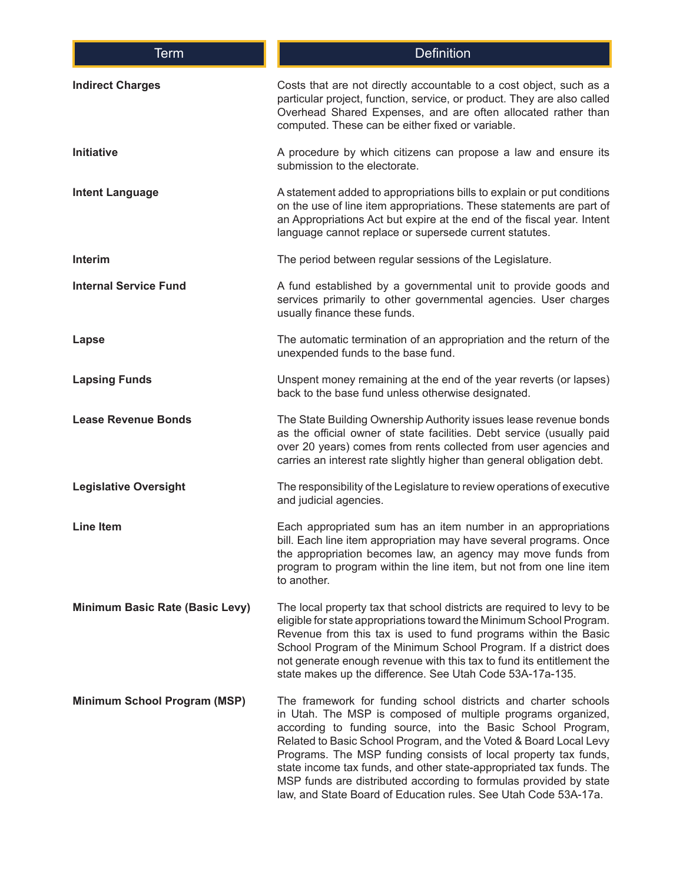| <b>Term</b>                     | <b>Definition</b>                                                                                                                                                                                                                                                                                                                                                                                                                                                                                                                                    |
|---------------------------------|------------------------------------------------------------------------------------------------------------------------------------------------------------------------------------------------------------------------------------------------------------------------------------------------------------------------------------------------------------------------------------------------------------------------------------------------------------------------------------------------------------------------------------------------------|
| <b>Indirect Charges</b>         | Costs that are not directly accountable to a cost object, such as a<br>particular project, function, service, or product. They are also called<br>Overhead Shared Expenses, and are often allocated rather than<br>computed. These can be either fixed or variable.                                                                                                                                                                                                                                                                                  |
| Initiative                      | A procedure by which citizens can propose a law and ensure its<br>submission to the electorate.                                                                                                                                                                                                                                                                                                                                                                                                                                                      |
| <b>Intent Language</b>          | A statement added to appropriations bills to explain or put conditions<br>on the use of line item appropriations. These statements are part of<br>an Appropriations Act but expire at the end of the fiscal year. Intent<br>language cannot replace or supersede current statutes.                                                                                                                                                                                                                                                                   |
| <b>Interim</b>                  | The period between regular sessions of the Legislature.                                                                                                                                                                                                                                                                                                                                                                                                                                                                                              |
| <b>Internal Service Fund</b>    | A fund established by a governmental unit to provide goods and<br>services primarily to other governmental agencies. User charges<br>usually finance these funds.                                                                                                                                                                                                                                                                                                                                                                                    |
| Lapse                           | The automatic termination of an appropriation and the return of the<br>unexpended funds to the base fund.                                                                                                                                                                                                                                                                                                                                                                                                                                            |
| <b>Lapsing Funds</b>            | Unspent money remaining at the end of the year reverts (or lapses)<br>back to the base fund unless otherwise designated.                                                                                                                                                                                                                                                                                                                                                                                                                             |
| <b>Lease Revenue Bonds</b>      | The State Building Ownership Authority issues lease revenue bonds<br>as the official owner of state facilities. Debt service (usually paid<br>over 20 years) comes from rents collected from user agencies and<br>carries an interest rate slightly higher than general obligation debt.                                                                                                                                                                                                                                                             |
| <b>Legislative Oversight</b>    | The responsibility of the Legislature to review operations of executive<br>and judicial agencies.                                                                                                                                                                                                                                                                                                                                                                                                                                                    |
| <b>Line Item</b>                | Each appropriated sum has an item number in an appropriations<br>bill. Each line item appropriation may have several programs. Once<br>the appropriation becomes law, an agency may move funds from<br>program to program within the line item, but not from one line item<br>to another.                                                                                                                                                                                                                                                            |
| Minimum Basic Rate (Basic Levy) | The local property tax that school districts are required to levy to be<br>eligible for state appropriations toward the Minimum School Program.<br>Revenue from this tax is used to fund programs within the Basic<br>School Program of the Minimum School Program. If a district does<br>not generate enough revenue with this tax to fund its entitlement the<br>state makes up the difference. See Utah Code 53A-17a-135.                                                                                                                         |
| Minimum School Program (MSP)    | The framework for funding school districts and charter schools<br>in Utah. The MSP is composed of multiple programs organized,<br>according to funding source, into the Basic School Program,<br>Related to Basic School Program, and the Voted & Board Local Levy<br>Programs. The MSP funding consists of local property tax funds,<br>state income tax funds, and other state-appropriated tax funds. The<br>MSP funds are distributed according to formulas provided by state<br>law, and State Board of Education rules. See Utah Code 53A-17a. |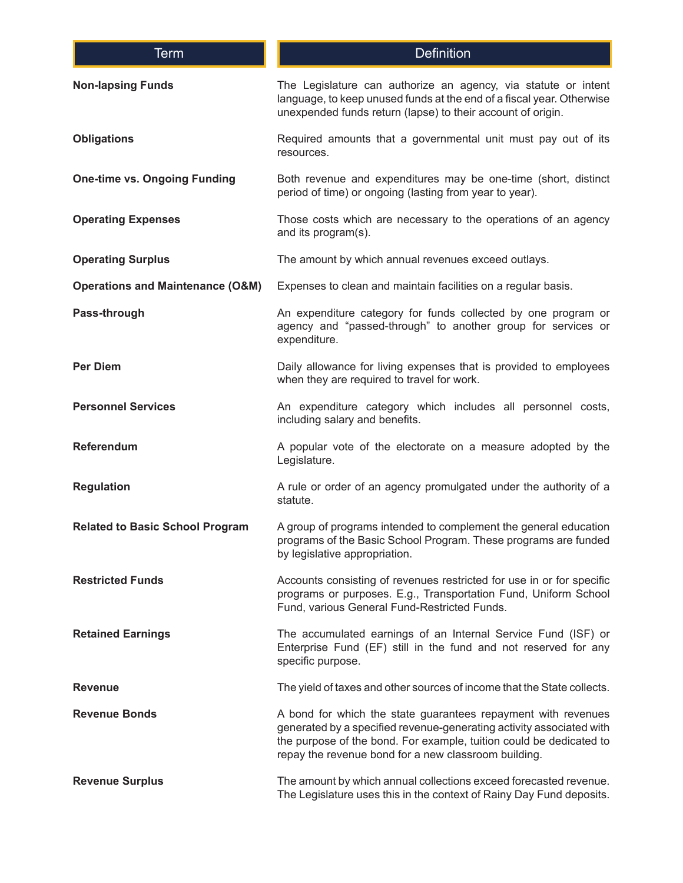| <b>Term</b>                                 | <b>Definition</b>                                                                                                                                                                                                                                                    |
|---------------------------------------------|----------------------------------------------------------------------------------------------------------------------------------------------------------------------------------------------------------------------------------------------------------------------|
| <b>Non-lapsing Funds</b>                    | The Legislature can authorize an agency, via statute or intent<br>language, to keep unused funds at the end of a fiscal year. Otherwise<br>unexpended funds return (lapse) to their account of origin.                                                               |
| <b>Obligations</b>                          | Required amounts that a governmental unit must pay out of its<br>resources.                                                                                                                                                                                          |
| <b>One-time vs. Ongoing Funding</b>         | Both revenue and expenditures may be one-time (short, distinct<br>period of time) or ongoing (lasting from year to year).                                                                                                                                            |
| <b>Operating Expenses</b>                   | Those costs which are necessary to the operations of an agency<br>and its program(s).                                                                                                                                                                                |
| <b>Operating Surplus</b>                    | The amount by which annual revenues exceed outlays.                                                                                                                                                                                                                  |
| <b>Operations and Maintenance (O&amp;M)</b> | Expenses to clean and maintain facilities on a regular basis.                                                                                                                                                                                                        |
| Pass-through                                | An expenditure category for funds collected by one program or<br>agency and "passed-through" to another group for services or<br>expenditure.                                                                                                                        |
| <b>Per Diem</b>                             | Daily allowance for living expenses that is provided to employees<br>when they are required to travel for work.                                                                                                                                                      |
| <b>Personnel Services</b>                   | An expenditure category which includes all personnel costs,<br>including salary and benefits.                                                                                                                                                                        |
| Referendum                                  | A popular vote of the electorate on a measure adopted by the<br>Legislature.                                                                                                                                                                                         |
| <b>Regulation</b>                           | A rule or order of an agency promulgated under the authority of a<br>statute.                                                                                                                                                                                        |
| <b>Related to Basic School Program</b>      | A group of programs intended to complement the general education<br>programs of the Basic School Program. These programs are funded<br>by legislative appropriation.                                                                                                 |
| <b>Restricted Funds</b>                     | Accounts consisting of revenues restricted for use in or for specific<br>programs or purposes. E.g., Transportation Fund, Uniform School<br>Fund, various General Fund-Restricted Funds.                                                                             |
| <b>Retained Earnings</b>                    | The accumulated earnings of an Internal Service Fund (ISF) or<br>Enterprise Fund (EF) still in the fund and not reserved for any<br>specific purpose.                                                                                                                |
| <b>Revenue</b>                              | The yield of taxes and other sources of income that the State collects.                                                                                                                                                                                              |
| <b>Revenue Bonds</b>                        | A bond for which the state guarantees repayment with revenues<br>generated by a specified revenue-generating activity associated with<br>the purpose of the bond. For example, tuition could be dedicated to<br>repay the revenue bond for a new classroom building. |
| <b>Revenue Surplus</b>                      | The amount by which annual collections exceed forecasted revenue.<br>The Legislature uses this in the context of Rainy Day Fund deposits.                                                                                                                            |